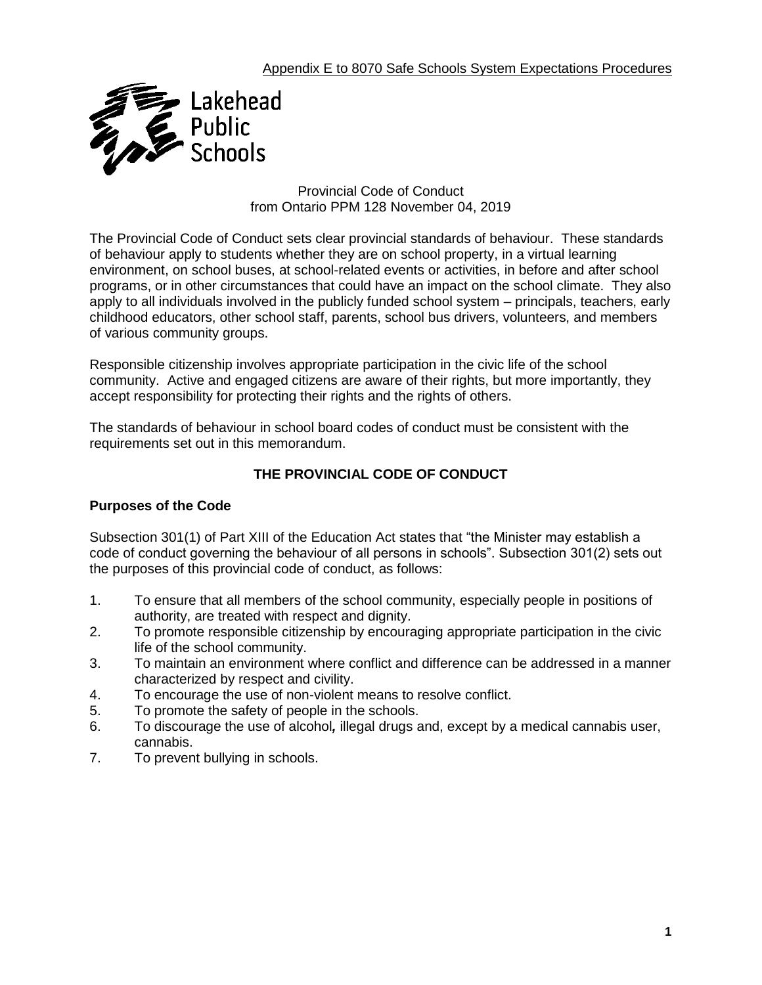

Provincial Code of Conduct from Ontario PPM 128 November 04, 2019

The Provincial Code of Conduct sets clear provincial standards of behaviour. These standards of behaviour apply to students whether they are on school property, in a virtual learning environment, on school buses, at school-related events or activities, in before and after school programs, or in other circumstances that could have an impact on the school climate. They also apply to all individuals involved in the publicly funded school system – principals, teachers, early childhood educators, other school staff, parents, school bus drivers, volunteers, and members of various community groups.

Responsible citizenship involves appropriate participation in the civic life of the school community. Active and engaged citizens are aware of their rights, but more importantly, they accept responsibility for protecting their rights and the rights of others.

The standards of behaviour in school board codes of conduct must be consistent with the requirements set out in this memorandum.

# **THE PROVINCIAL CODE OF CONDUCT**

## **Purposes of the Code**

Subsection 301(1) of Part XIII of the Education Act states that "the Minister may establish a code of conduct governing the behaviour of all persons in schools". Subsection 301(2) sets out the purposes of this provincial code of conduct, as follows:

- 1. To ensure that all members of the school community, especially people in positions of authority, are treated with respect and dignity.
- 2. To promote responsible citizenship by encouraging appropriate participation in the civic life of the school community.
- 3. To maintain an environment where conflict and difference can be addressed in a manner characterized by respect and civility.
- 4. To encourage the use of non-violent means to resolve conflict.
- 5. To promote the safety of people in the schools.
- 6. To discourage the use of alcohol*,* illegal drugs and, except by a medical cannabis user, cannabis.
- 7. To prevent bullying in schools.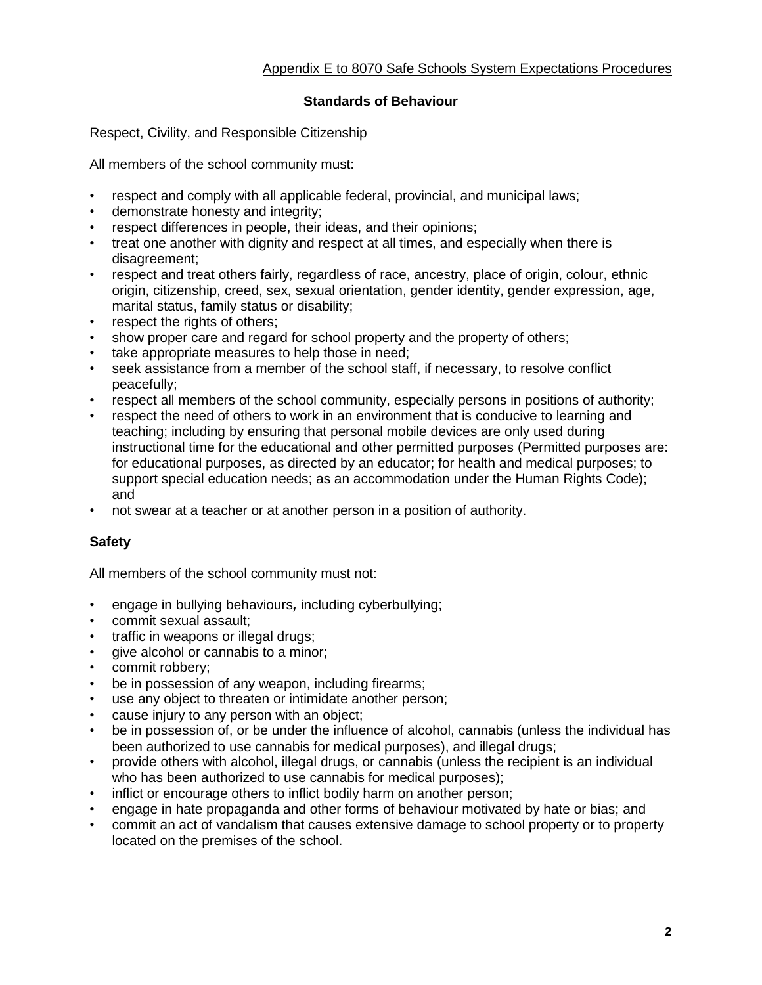## **Standards of Behaviour**

Respect, Civility, and Responsible Citizenship

All members of the school community must:

- respect and comply with all applicable federal, provincial, and municipal laws;
- demonstrate honesty and integrity;
- respect differences in people, their ideas, and their opinions;
- treat one another with dignity and respect at all times, and especially when there is disagreement;
- respect and treat others fairly, regardless of race, ancestry, place of origin, colour, ethnic origin, citizenship, creed, sex, sexual orientation, gender identity, gender expression, age, marital status, family status or disability;
- respect the rights of others;
- show proper care and regard for school property and the property of others;
- take appropriate measures to help those in need;
- seek assistance from a member of the school staff, if necessary, to resolve conflict peacefully;
- respect all members of the school community, especially persons in positions of authority;
- respect the need of others to work in an environment that is conducive to learning and teaching; including by ensuring that personal mobile devices are only used during instructional time for the educational and other permitted purposes (Permitted purposes are: for educational purposes, as directed by an educator; for health and medical purposes; to support special education needs; as an accommodation under the Human Rights Code); and
- not swear at a teacher or at another person in a position of authority.

## **Safety**

All members of the school community must not:

- engage in bullying behaviours*,* including cyberbullying;
- commit sexual assault;
- traffic in weapons or illegal drugs;
- give alcohol or cannabis to a minor;
- commit robbery;
- be in possession of any weapon, including firearms;
- use any object to threaten or intimidate another person;
- cause injury to any person with an object;
- be in possession of, or be under the influence of alcohol, cannabis (unless the individual has been authorized to use cannabis for medical purposes), and illegal drugs;
- provide others with alcohol, illegal drugs, or cannabis (unless the recipient is an individual who has been authorized to use cannabis for medical purposes);
- inflict or encourage others to inflict bodily harm on another person;
- engage in hate propaganda and other forms of behaviour motivated by hate or bias; and
- commit an act of vandalism that causes extensive damage to school property or to property located on the premises of the school.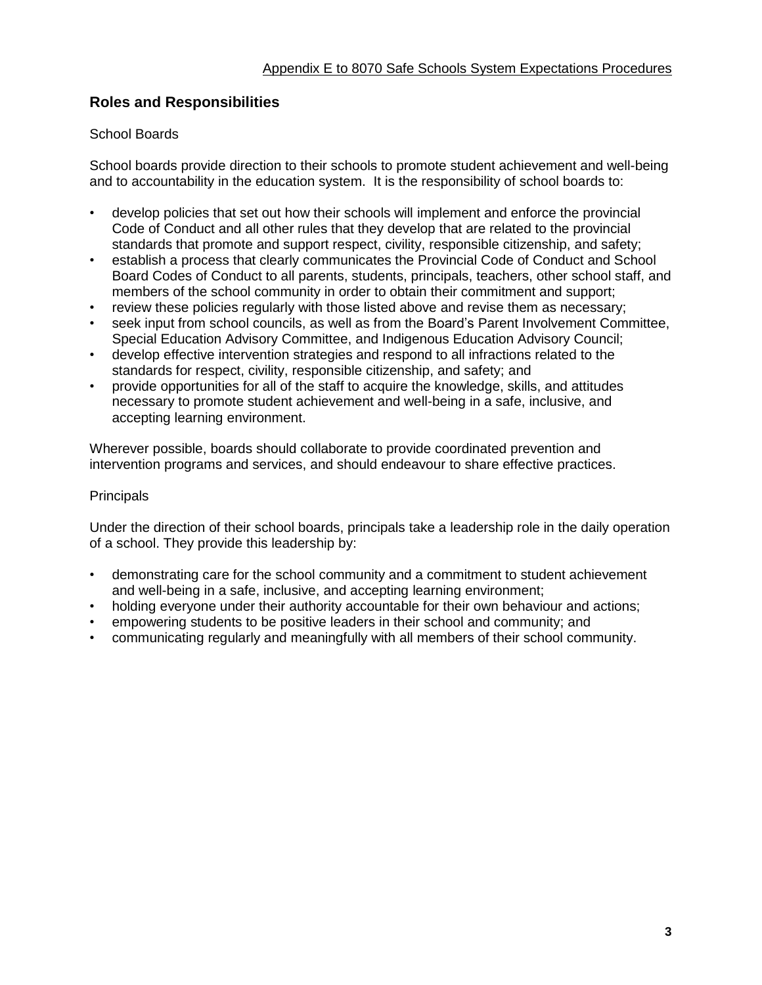# **Roles and Responsibilities**

### School Boards

School boards provide direction to their schools to promote student achievement and well-being and to accountability in the education system. It is the responsibility of school boards to:

- develop policies that set out how their schools will implement and enforce the provincial Code of Conduct and all other rules that they develop that are related to the provincial standards that promote and support respect, civility, responsible citizenship, and safety;
- establish a process that clearly communicates the Provincial Code of Conduct and School Board Codes of Conduct to all parents, students, principals, teachers, other school staff, and members of the school community in order to obtain their commitment and support;
- review these policies regularly with those listed above and revise them as necessary;
- seek input from school councils, as well as from the Board's Parent Involvement Committee, Special Education Advisory Committee, and Indigenous Education Advisory Council;
- develop effective intervention strategies and respond to all infractions related to the standards for respect, civility, responsible citizenship, and safety; and
- provide opportunities for all of the staff to acquire the knowledge, skills, and attitudes necessary to promote student achievement and well-being in a safe, inclusive, and accepting learning environment.

Wherever possible, boards should collaborate to provide coordinated prevention and intervention programs and services, and should endeavour to share effective practices.

#### **Principals**

Under the direction of their school boards, principals take a leadership role in the daily operation of a school. They provide this leadership by:

- demonstrating care for the school community and a commitment to student achievement and well-being in a safe, inclusive, and accepting learning environment;
- holding everyone under their authority accountable for their own behaviour and actions;
- empowering students to be positive leaders in their school and community; and
- communicating regularly and meaningfully with all members of their school community.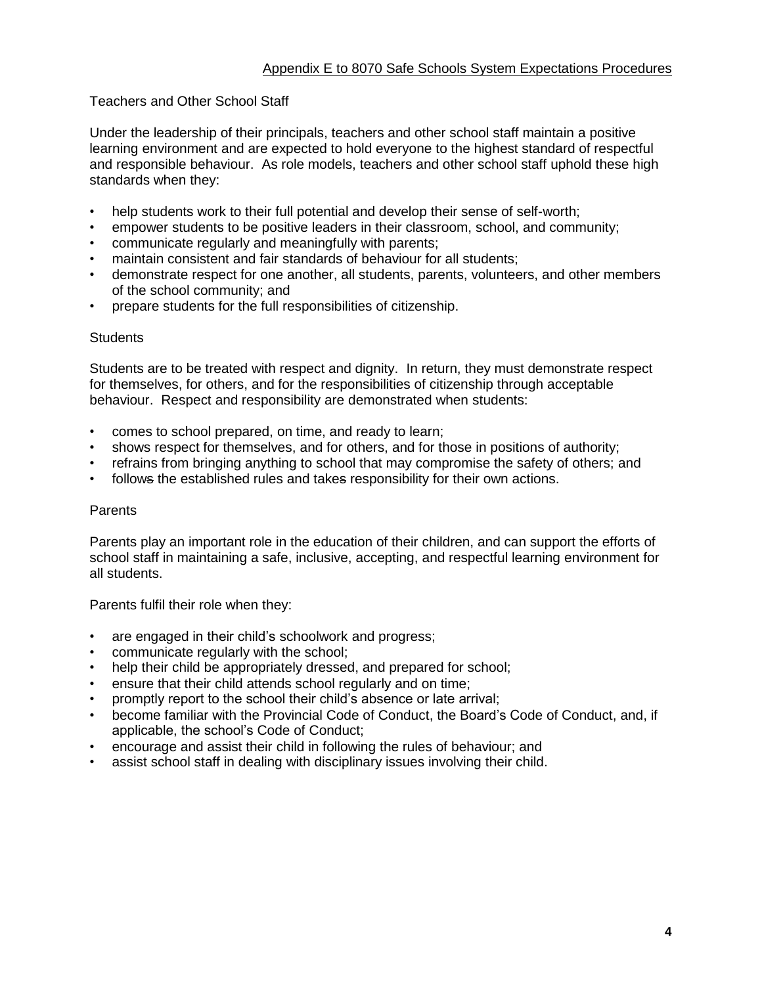## Teachers and Other School Staff

Under the leadership of their principals, teachers and other school staff maintain a positive learning environment and are expected to hold everyone to the highest standard of respectful and responsible behaviour. As role models, teachers and other school staff uphold these high standards when they:

- help students work to their full potential and develop their sense of self-worth;
- empower students to be positive leaders in their classroom, school, and community;
- communicate regularly and meaningfully with parents;
- maintain consistent and fair standards of behaviour for all students;
- demonstrate respect for one another, all students, parents, volunteers, and other members of the school community; and
- prepare students for the full responsibilities of citizenship.

#### **Students**

Students are to be treated with respect and dignity. In return, they must demonstrate respect for themselves, for others, and for the responsibilities of citizenship through acceptable behaviour. Respect and responsibility are demonstrated when students:

- comes to school prepared, on time, and ready to learn;
- shows respect for themselves, and for others, and for those in positions of authority;
- refrains from bringing anything to school that may compromise the safety of others; and
- follows the established rules and takes responsibility for their own actions.

#### Parents

Parents play an important role in the education of their children, and can support the efforts of school staff in maintaining a safe, inclusive, accepting, and respectful learning environment for all students.

Parents fulfil their role when they:

- are engaged in their child's schoolwork and progress;
- communicate regularly with the school;
- help their child be appropriately dressed, and prepared for school;
- ensure that their child attends school regularly and on time;
- promptly report to the school their child's absence or late arrival;
- become familiar with the Provincial Code of Conduct, the Board's Code of Conduct, and, if applicable, the school's Code of Conduct;
- encourage and assist their child in following the rules of behaviour; and
- assist school staff in dealing with disciplinary issues involving their child.